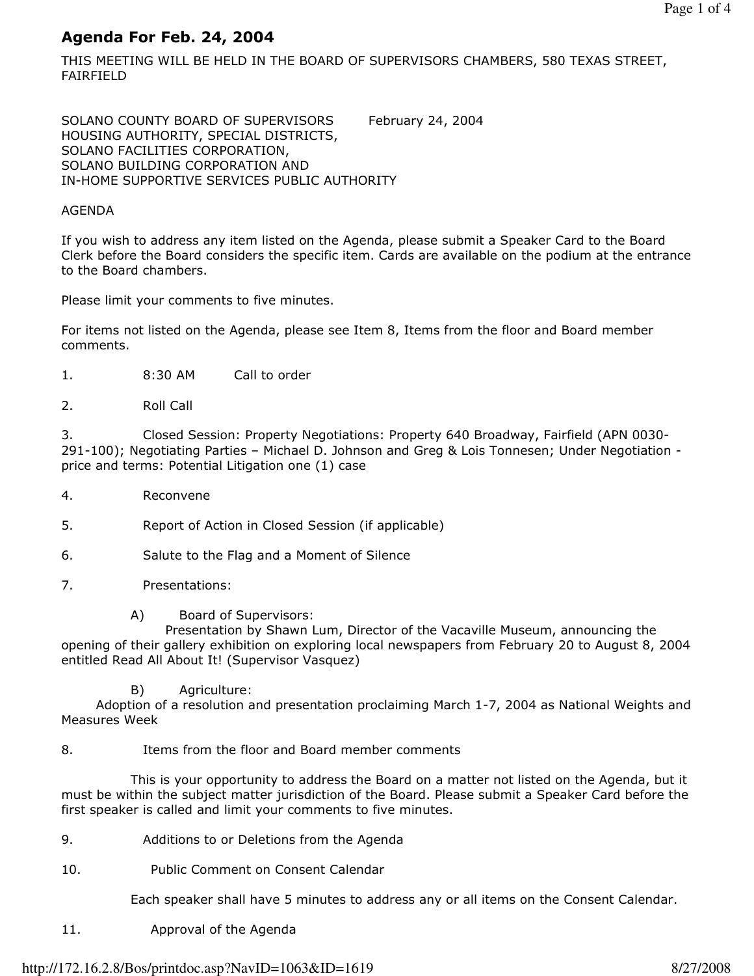# Agenda For Feb. 24, 2004

THIS MEETING WILL BE HELD IN THE BOARD OF SUPERVISORS CHAMBERS, 580 TEXAS STREET, FAIRFIELD

SOLANO COUNTY BOARD OF SUPERVISORS February 24, 2004 HOUSING AUTHORITY, SPECIAL DISTRICTS, SOLANO FACILITIES CORPORATION, SOLANO BUILDING CORPORATION AND IN-HOME SUPPORTIVE SERVICES PUBLIC AUTHORITY

#### AGENDA

If you wish to address any item listed on the Agenda, please submit a Speaker Card to the Board Clerk before the Board considers the specific item. Cards are available on the podium at the entrance to the Board chambers.

Please limit your comments to five minutes.

For items not listed on the Agenda, please see Item 8, Items from the floor and Board member comments.

- 1. 8:30 AM Call to order
- 2. Roll Call

3. Closed Session: Property Negotiations: Property 640 Broadway, Fairfield (APN 0030- 291-100); Negotiating Parties – Michael D. Johnson and Greg & Lois Tonnesen; Under Negotiation price and terms: Potential Litigation one (1) case

- 4. Reconvene
- 5. Report of Action in Closed Session (if applicable)
- 6. Salute to the Flag and a Moment of Silence
- 7. Presentations:
	- A) Board of Supervisors:

 Presentation by Shawn Lum, Director of the Vacaville Museum, announcing the opening of their gallery exhibition on exploring local newspapers from February 20 to August 8, 2004 entitled Read All About It! (Supervisor Vasquez)

B) Agriculture:

 Adoption of a resolution and presentation proclaiming March 1-7, 2004 as National Weights and Measures Week

### 8. Items from the floor and Board member comments

 This is your opportunity to address the Board on a matter not listed on the Agenda, but it must be within the subject matter jurisdiction of the Board. Please submit a Speaker Card before the first speaker is called and limit your comments to five minutes.

- 9. Additions to or Deletions from the Agenda
- 10. Public Comment on Consent Calendar

Each speaker shall have 5 minutes to address any or all items on the Consent Calendar.

11. Approval of the Agenda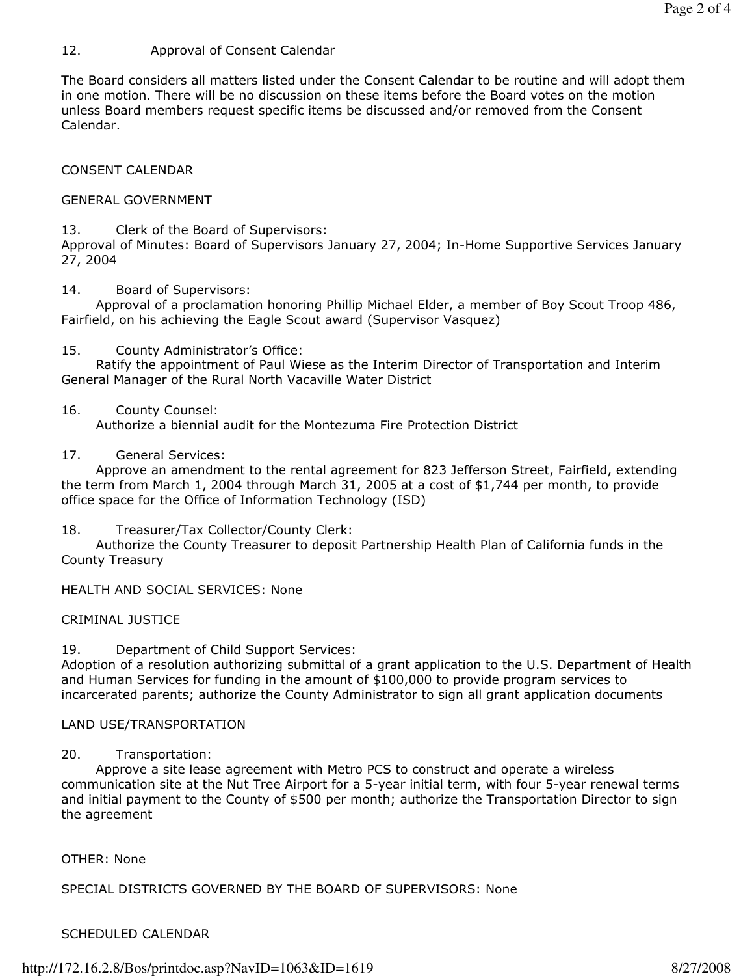## 12. Approval of Consent Calendar

The Board considers all matters listed under the Consent Calendar to be routine and will adopt them in one motion. There will be no discussion on these items before the Board votes on the motion unless Board members request specific items be discussed and/or removed from the Consent Calendar.

CONSENT CALENDAR

### GENERAL GOVERNMENT

13. Clerk of the Board of Supervisors:

Approval of Minutes: Board of Supervisors January 27, 2004; In-Home Supportive Services January 27, 2004

14. Board of Supervisors:

 Approval of a proclamation honoring Phillip Michael Elder, a member of Boy Scout Troop 486, Fairfield, on his achieving the Eagle Scout award (Supervisor Vasquez)

15. County Administrator's Office:

 Ratify the appointment of Paul Wiese as the Interim Director of Transportation and Interim General Manager of the Rural North Vacaville Water District

### 16. County Counsel:

Authorize a biennial audit for the Montezuma Fire Protection District

17. General Services:

 Approve an amendment to the rental agreement for 823 Jefferson Street, Fairfield, extending the term from March 1, 2004 through March 31, 2005 at a cost of \$1,744 per month, to provide office space for the Office of Information Technology (ISD)

18. Treasurer/Tax Collector/County Clerk:

 Authorize the County Treasurer to deposit Partnership Health Plan of California funds in the County Treasury

HEALTH AND SOCIAL SERVICES: None

## CRIMINAL JUSTICE

19. Department of Child Support Services:

Adoption of a resolution authorizing submittal of a grant application to the U.S. Department of Health and Human Services for funding in the amount of \$100,000 to provide program services to incarcerated parents; authorize the County Administrator to sign all grant application documents

## LAND USE/TRANSPORTATION

## 20. Transportation:

 Approve a site lease agreement with Metro PCS to construct and operate a wireless communication site at the Nut Tree Airport for a 5-year initial term, with four 5-year renewal terms and initial payment to the County of \$500 per month; authorize the Transportation Director to sign the agreement

## OTHER: None

## SPECIAL DISTRICTS GOVERNED BY THE BOARD OF SUPERVISORS: None

## SCHEDULED CALENDAR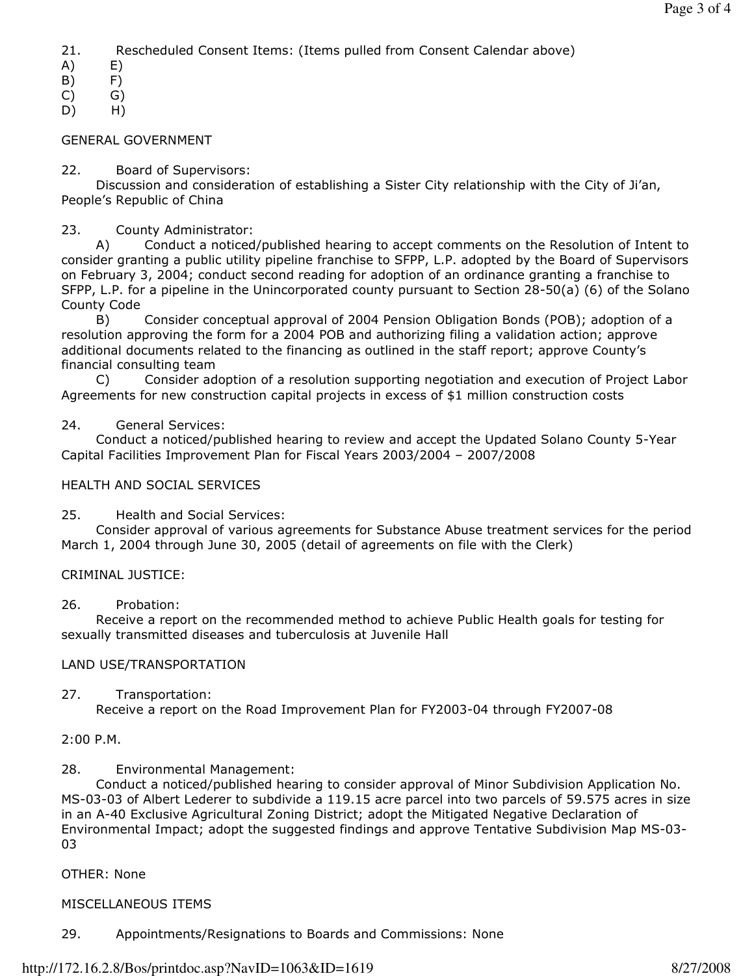21. Rescheduled Consent Items: (Items pulled from Consent Calendar above)

- A) E)
- B) F)

C) G)

D) H)

#### GENERAL GOVERNMENT

#### 22. Board of Supervisors:

 Discussion and consideration of establishing a Sister City relationship with the City of Ji'an, People's Republic of China

#### 23. County Administrator:

 A) Conduct a noticed/published hearing to accept comments on the Resolution of Intent to consider granting a public utility pipeline franchise to SFPP, L.P. adopted by the Board of Supervisors on February 3, 2004; conduct second reading for adoption of an ordinance granting a franchise to SFPP, L.P. for a pipeline in the Unincorporated county pursuant to Section 28-50(a) (6) of the Solano County Code

 B) Consider conceptual approval of 2004 Pension Obligation Bonds (POB); adoption of a resolution approving the form for a 2004 POB and authorizing filing a validation action; approve additional documents related to the financing as outlined in the staff report; approve County's financial consulting team

 C) Consider adoption of a resolution supporting negotiation and execution of Project Labor Agreements for new construction capital projects in excess of \$1 million construction costs

#### 24. General Services:

 Conduct a noticed/published hearing to review and accept the Updated Solano County 5-Year Capital Facilities Improvement Plan for Fiscal Years 2003/2004 – 2007/2008

#### HEALTH AND SOCIAL SERVICES

25. Health and Social Services:

 Consider approval of various agreements for Substance Abuse treatment services for the period March 1, 2004 through June 30, 2005 (detail of agreements on file with the Clerk)

#### CRIMINAL JUSTICE:

#### 26. Probation:

 Receive a report on the recommended method to achieve Public Health goals for testing for sexually transmitted diseases and tuberculosis at Juvenile Hall

#### LAND USE/TRANSPORTATION

27. Transportation:

Receive a report on the Road Improvement Plan for FY2003-04 through FY2007-08

### 2:00 P.M.

28. Environmental Management:

 Conduct a noticed/published hearing to consider approval of Minor Subdivision Application No. MS-03-03 of Albert Lederer to subdivide a 119.15 acre parcel into two parcels of 59.575 acres in size in an A-40 Exclusive Agricultural Zoning District; adopt the Mitigated Negative Declaration of Environmental Impact; adopt the suggested findings and approve Tentative Subdivision Map MS-03- 03

#### OTHER: None

### MISCELLANEOUS ITEMS

29. Appointments/Resignations to Boards and Commissions: None

#### http://172.16.2.8/Bos/printdoc.asp?NavID=1063&ID=1619 8/27/2008